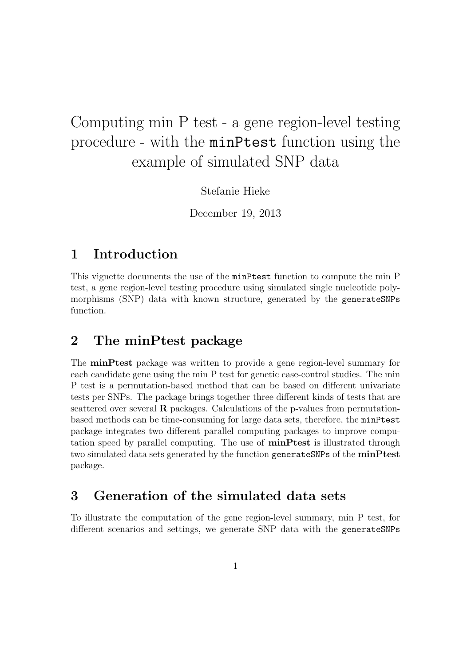# Computing min P test - a gene region-level testing procedure - with the minPtest function using the example of simulated SNP data

Stefanie Hieke

December 19, 2013

# 1 Introduction

This vignette documents the use of the minPtest function to compute the min P test, a gene region-level testing procedure using simulated single nucleotide polymorphisms (SNP) data with known structure, generated by the generateSNPs function.

# 2 The minPtest package

The minPtest package was written to provide a gene region-level summary for each candidate gene using the min P test for genetic case-control studies. The min P test is a permutation-based method that can be based on different univariate tests per SNPs. The package brings together three different kinds of tests that are scattered over several **R** packages. Calculations of the p-values from permutationbased methods can be time-consuming for large data sets, therefore, the minPtest package integrates two different parallel computing packages to improve computation speed by parallel computing. The use of minPtest is illustrated through two simulated data sets generated by the function generateSNPs of the minPtest package.

# 3 Generation of the simulated data sets

To illustrate the computation of the gene region-level summary, min P test, for different scenarios and settings, we generate SNP data with the generateSNPs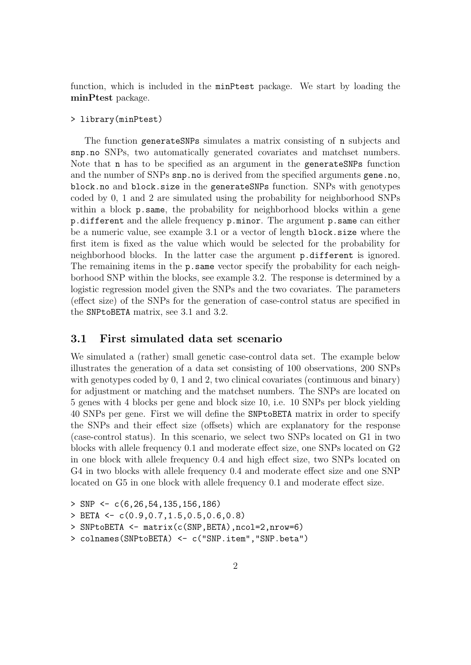function, which is included in the minPtest package. We start by loading the minPtest package.

#### > library(minPtest)

The function generateSNPs simulates a matrix consisting of n subjects and snp.no SNPs, two automatically generated covariates and matchset numbers. Note that n has to be specified as an argument in the generateSNPs function and the number of SNPs snp.no is derived from the specified arguments gene.no, block.no and block.size in the generateSNPs function. SNPs with genotypes coded by 0, 1 and 2 are simulated using the probability for neighborhood SNPs within a block **p**.same, the probability for neighborhood blocks within a gene p.different and the allele frequency p.minor. The argument p.same can either be a numeric value, see example 3.1 or a vector of length block.size where the first item is fixed as the value which would be selected for the probability for neighborhood blocks. In the latter case the argument p.different is ignored. The remaining items in the **p**. same vector specify the probability for each neighborhood SNP within the blocks, see example 3.2. The response is determined by a logistic regression model given the SNPs and the two covariates. The parameters (effect size) of the SNPs for the generation of case-control status are specified in the SNPtoBETA matrix, see 3.1 and 3.2.

#### 3.1 First simulated data set scenario

We simulated a (rather) small genetic case-control data set. The example below illustrates the generation of a data set consisting of 100 observations, 200 SNPs with genotypes coded by 0, 1 and 2, two clinical covariates (continuous and binary) for adjustment or matching and the matchset numbers. The SNPs are located on 5 genes with 4 blocks per gene and block size 10, i.e. 10 SNPs per block yielding 40 SNPs per gene. First we will define the SNPtoBETA matrix in order to specify the SNPs and their effect size (offsets) which are explanatory for the response (case-control status). In this scenario, we select two SNPs located on G1 in two blocks with allele frequency 0.1 and moderate effect size, one SNPs located on G2 in one block with allele frequency 0.4 and high effect size, two SNPs located on G4 in two blocks with allele frequency 0.4 and moderate effect size and one SNP located on G5 in one block with allele frequency 0.1 and moderate effect size.

> SNP <- c(6,26,54,135,156,186)  $>$  BETA  $\leq$  c(0.9,0.7,1.5,0.5,0.6,0.8) > SNPtoBETA <- matrix(c(SNP,BETA),ncol=2,nrow=6)

<sup>&</sup>gt; colnames(SNPtoBETA) <- c("SNP.item","SNP.beta")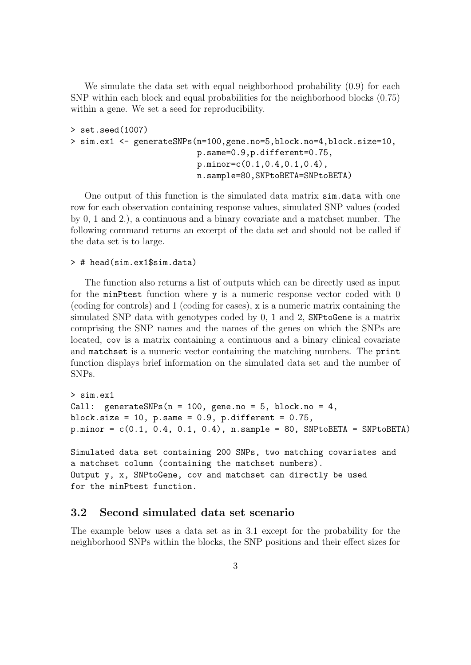We simulate the data set with equal neighborhood probability  $(0.9)$  for each SNP within each block and equal probabilities for the neighborhood blocks (0.75) within a gene. We set a seed for reproducibility.

```
> set.seed(1007)
> sim.ex1 <- generateSNPs(n=100,gene.no=5,block.no=4,block.size=10,
                          p.same=0.9,p.different=0.75,
                          p.minor=c(0.1,0.4,0.1,0.4),
                          n.sample=80,SNPtoBETA=SNPtoBETA)
```
One output of this function is the simulated data matrix sim.data with one row for each observation containing response values, simulated SNP values (coded by 0, 1 and 2.), a continuous and a binary covariate and a matchset number. The following command returns an excerpt of the data set and should not be called if the data set is to large.

> # head(sim.ex1\$sim.data)

The function also returns a list of outputs which can be directly used as input for the minPtest function where y is a numeric response vector coded with 0 (coding for controls) and 1 (coding for cases), x is a numeric matrix containing the simulated SNP data with genotypes coded by 0, 1 and 2, SNPtoGene is a matrix comprising the SNP names and the names of the genes on which the SNPs are located, cov is a matrix containing a continuous and a binary clinical covariate and matchset is a numeric vector containing the matching numbers. The print function displays brief information on the simulated data set and the number of SNPs.

```
> sim.ex1
Call: generateSNPs(n = 100, gene.no = 5, block.no = 4,
block.size = 10, p.same = 0.9, p.different = 0.75,
p.minor = c(0.1, 0.4, 0.1, 0.4), n.sample = 80, SNPtoBETA = SNPtoBETA)Simulated data set containing 200 SNPs, two matching covariates and
a matchset column (containing the matchset numbers).
```
Output y, x, SNPtoGene, cov and matchset can directly be used for the minPtest function.

#### 3.2 Second simulated data set scenario

The example below uses a data set as in 3.1 except for the probability for the neighborhood SNPs within the blocks, the SNP positions and their effect sizes for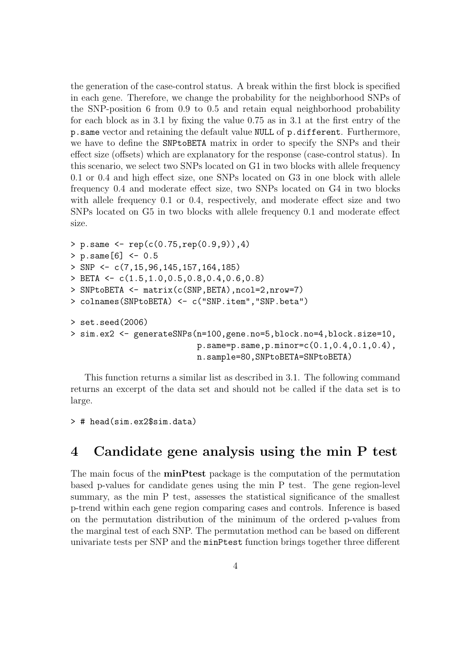the generation of the case-control status. A break within the first block is specified in each gene. Therefore, we change the probability for the neighborhood SNPs of the SNP-position 6 from 0.9 to 0.5 and retain equal neighborhood probability for each block as in 3.1 by fixing the value 0.75 as in 3.1 at the first entry of the p.same vector and retaining the default value NULL of p.different. Furthermore, we have to define the SNPtoBETA matrix in order to specify the SNPs and their effect size (offsets) which are explanatory for the response (case-control status). In this scenario, we select two SNPs located on G1 in two blocks with allele frequency 0.1 or 0.4 and high effect size, one SNPs located on G3 in one block with allele frequency 0.4 and moderate effect size, two SNPs located on G4 in two blocks with allele frequency 0.1 or 0.4, respectively, and moderate effect size and two SNPs located on G5 in two blocks with allele frequency 0.1 and moderate effect size.

```
> p.same <- rep(c(0.75,rep(0.9,9)),4)
> p.\text{same}[6] < -0.5> SNP <- c(7,15,96,145,157,164,185)
> BETA \leq c(1.5, 1.0, 0.5, 0.8, 0.4, 0.6, 0.8)> SNPtoBETA <- matrix(c(SNP,BETA),ncol=2,nrow=7)
> colnames(SNPtoBETA) <- c("SNP.item","SNP.beta")
> set.seed(2006)
> sim.ex2 <- generateSNPs(n=100,gene.no=5,block.no=4,block.size=10,
                           p.same=p.same,p.minor=c(0.1,0.4,0.1,0.4),
                           n.sample=80,SNPtoBETA=SNPtoBETA)
```
This function returns a similar list as described in 3.1. The following command returns an excerpt of the data set and should not be called if the data set is to large.

```
> # head(sim.ex2$sim.data)
```
# 4 Candidate gene analysis using the min P test

The main focus of the minPtest package is the computation of the permutation based p-values for candidate genes using the min P test. The gene region-level summary, as the min P test, assesses the statistical significance of the smallest p-trend within each gene region comparing cases and controls. Inference is based on the permutation distribution of the minimum of the ordered p-values from the marginal test of each SNP. The permutation method can be based on different univariate tests per SNP and the minPtest function brings together three different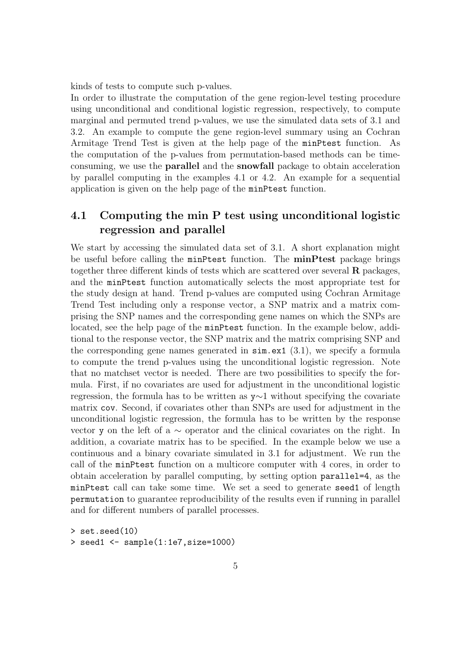kinds of tests to compute such p-values.

In order to illustrate the computation of the gene region-level testing procedure using unconditional and conditional logistic regression, respectively, to compute marginal and permuted trend p-values, we use the simulated data sets of 3.1 and 3.2. An example to compute the gene region-level summary using an Cochran Armitage Trend Test is given at the help page of the minPtest function. As the computation of the p-values from permutation-based methods can be timeconsuming, we use the parallel and the snowfall package to obtain acceleration by parallel computing in the examples 4.1 or 4.2. An example for a sequential application is given on the help page of the minPtest function.

### 4.1 Computing the min P test using unconditional logistic regression and parallel

We start by accessing the simulated data set of 3.1. A short explanation might be useful before calling the minPtest function. The **minPtest** package brings together three different kinds of tests which are scattered over several  $\bf{R}$  packages, and the minPtest function automatically selects the most appropriate test for the study design at hand. Trend p-values are computed using Cochran Armitage Trend Test including only a response vector, a SNP matrix and a matrix comprising the SNP names and the corresponding gene names on which the SNPs are located, see the help page of the minPtest function. In the example below, additional to the response vector, the SNP matrix and the matrix comprising SNP and the corresponding gene names generated in  $\sin \cdot \cot (3.1)$ , we specify a formula to compute the trend p-values using the unconditional logistic regression. Note that no matchset vector is needed. There are two possibilities to specify the formula. First, if no covariates are used for adjustment in the unconditional logistic regression, the formula has to be written as y∼1 without specifying the covariate matrix cov. Second, if covariates other than SNPs are used for adjustment in the unconditional logistic regression, the formula has to be written by the response vector y on the left of a ∼ operator and the clinical covariates on the right. In addition, a covariate matrix has to be specified. In the example below we use a continuous and a binary covariate simulated in 3.1 for adjustment. We run the call of the minPtest function on a multicore computer with 4 cores, in order to obtain acceleration by parallel computing, by setting option parallel=4, as the minPtest call can take some time. We set a seed to generate seed1 of length permutation to guarantee reproducibility of the results even if running in parallel and for different numbers of parallel processes.

```
> set.seed(10)
> seed1 <- sample(1:1e7,size=1000)
```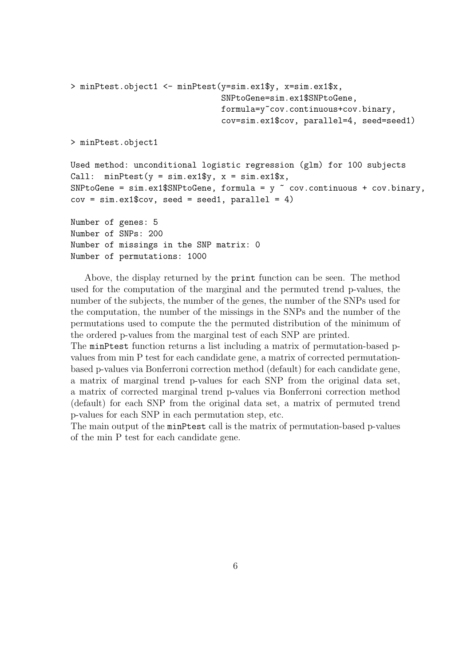```
> minPtest.object1 <- minPtest(y=sim.ex1$y, x=sim.ex1$x,
                               SNPtoGene=sim.ex1$SNPtoGene,
                               formula=y~cov.continuous+cov.binary,
                                cov=sim.ex1$cov, parallel=4, seed=seed1)
> minPtest.object1
Used method: unconditional logistic regression (glm) for 100 subjects
Call: minPtest(y = sim.ex1\y, x = sim.ex1\x,
SNPtoGene = sim.ex1$SNPtoGene, formula = y \tilde{ } cov.continuous + cov.binary,
cov = sim.ex1$cov, seed = seed1, parallel = 4)Number of genes: 5
Number of SNPs: 200
Number of missings in the SNP matrix: 0
Number of permutations: 1000
```
Above, the display returned by the print function can be seen. The method used for the computation of the marginal and the permuted trend p-values, the number of the subjects, the number of the genes, the number of the SNPs used for the computation, the number of the missings in the SNPs and the number of the permutations used to compute the the permuted distribution of the minimum of the ordered p-values from the marginal test of each SNP are printed.

The minPtest function returns a list including a matrix of permutation-based pvalues from min P test for each candidate gene, a matrix of corrected permutationbased p-values via Bonferroni correction method (default) for each candidate gene, a matrix of marginal trend p-values for each SNP from the original data set, a matrix of corrected marginal trend p-values via Bonferroni correction method (default) for each SNP from the original data set, a matrix of permuted trend p-values for each SNP in each permutation step, etc.

The main output of the minPtest call is the matrix of permutation-based p-values of the min P test for each candidate gene.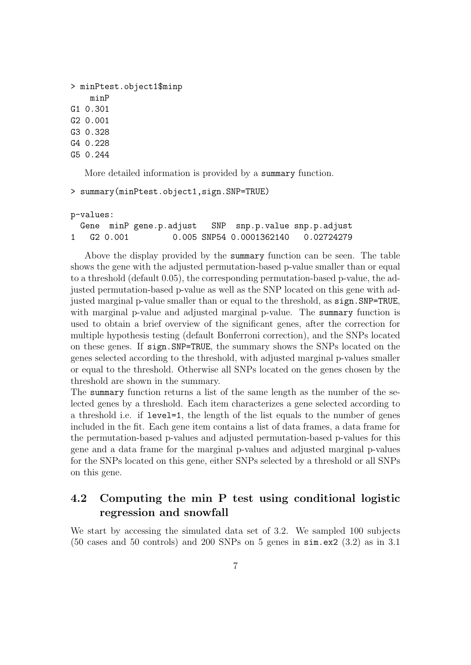```
> minPtest.object1$minp
    minP
G1 0.301
G2 0.001
G3 0.328
G4 0.228
G5 0.244
```
More detailed information is provided by a summary function.

```
> summary(minPtest.object1,sign.SNP=TRUE)
```

```
p-values:
 Gene minP gene.p.adjust SNP snp.p.value snp.p.adjust
1 G2 0.001 0.005 SNP54 0.0001362140 0.02724279
```
Above the display provided by the summary function can be seen. The table shows the gene with the adjusted permutation-based p-value smaller than or equal to a threshold (default 0.05), the corresponding permutation-based p-value, the adjusted permutation-based p-value as well as the SNP located on this gene with adjusted marginal p-value smaller than or equal to the threshold, as sign.SNP=TRUE, with marginal p-value and adjusted marginal p-value. The summary function is used to obtain a brief overview of the significant genes, after the correction for multiple hypothesis testing (default Bonferroni correction), and the SNPs located on these genes. If sign.SNP=TRUE, the summary shows the SNPs located on the genes selected according to the threshold, with adjusted marginal p-values smaller or equal to the threshold. Otherwise all SNPs located on the genes chosen by the threshold are shown in the summary.

The summary function returns a list of the same length as the number of the selected genes by a threshold. Each item characterizes a gene selected according to a threshold i.e. if level=1, the length of the list equals to the number of genes included in the fit. Each gene item contains a list of data frames, a data frame for the permutation-based p-values and adjusted permutation-based p-values for this gene and a data frame for the marginal p-values and adjusted marginal p-values for the SNPs located on this gene, either SNPs selected by a threshold or all SNPs on this gene.

### 4.2 Computing the min P test using conditional logistic regression and snowfall

We start by accessing the simulated data set of 3.2. We sampled 100 subjects  $(50 \text{ cases and } 50 \text{ controls})$  and  $200 \text{ SNPs}$  on 5 genes in  $\sin \theta$ .  $(3.2)$  as in 3.1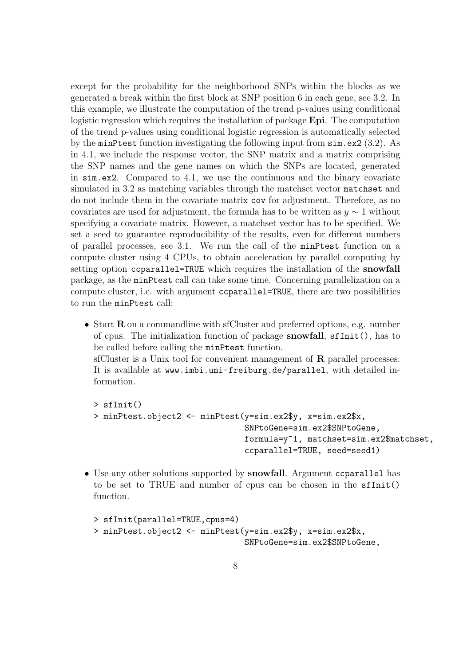except for the probability for the neighborhood SNPs within the blocks as we generated a break within the first block at SNP position 6 in each gene, see 3.2. In this example, we illustrate the computation of the trend p-values using conditional logistic regression which requires the installation of package Epi. The computation of the trend p-values using conditional logistic regression is automatically selected by the minPtest function investigating the following input from sim.ex2 (3.2). As in 4.1, we include the response vector, the SNP matrix and a matrix comprising the SNP names and the gene names on which the SNPs are located, generated in sim.ex2. Compared to 4.1, we use the continuous and the binary covariate simulated in 3.2 as matching variables through the matchset vector matchset and do not include them in the covariate matrix cov for adjustment. Therefore, as no covariates are used for adjustment, the formula has to be written as  $y \sim 1$  without specifying a covariate matrix. However, a matchset vector has to be specified. We set a seed to guarantee reproducibility of the results, even for different numbers of parallel processes, see 3.1. We run the call of the minPtest function on a compute cluster using 4 CPUs, to obtain acceleration by parallel computing by setting option ccparallel=TRUE which requires the installation of the snowfall package, as the minPtest call can take some time. Concerning parallelization on a compute cluster, i.e. with argument ccparallel=TRUE, there are two possibilities to run the minPtest call:

• Start **R** on a commandline with sfCluster and preferred options, e.g. number of cpus. The initialization function of package snowfall, sfInit(), has to be called before calling the minPtest function.

sfCluster is a Unix tool for convenient management of  $\bf{R}$  parallel processes. It is available at www.imbi.uni-freiburg.de/parallel, with detailed information.

```
> sfInit()
> minPtest.object2 <- minPtest(y=sim.ex2$y, x=sim.ex2$x,
                               SNPtoGene=sim.ex2$SNPtoGene,
                               formula=y~1, matchset=sim.ex2$matchset,
                               ccparallel=TRUE, seed=seed1)
```
• Use any other solutions supported by **snowfall**. Argument contracted has to be set to TRUE and number of cpus can be chosen in the sfInit() function.

```
> sfInit(parallel=TRUE,cpus=4)
> minPtest.object2 <- minPtest(y=sim.ex2$y, x=sim.ex2$x,
                               SNPtoGene=sim.ex2$SNPtoGene,
```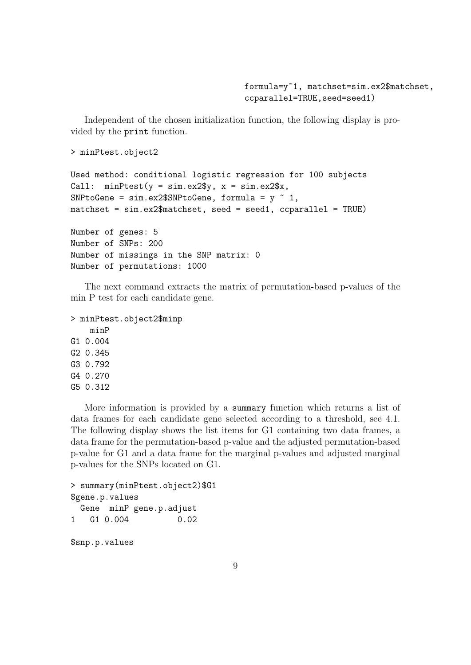formula=y~1, matchset=sim.ex2\$matchset, ccparallel=TRUE,seed=seed1)

Independent of the chosen initialization function, the following display is provided by the print function.

```
> minPtest.object2
```

```
Used method: conditional logistic regression for 100 subjects
Call: minPtest(y = sim.ex2\y, x = sim.ex2\x,
SNPtoGene = sim.ex2$SNPtoGene, formula = y \sim 1,
matchset = sim.ex2$matchset, seed = seed1, ccparallel = TRUE)
```
Number of genes: 5 Number of SNPs: 200 Number of missings in the SNP matrix: 0 Number of permutations: 1000

The next command extracts the matrix of permutation-based p-values of the min P test for each candidate gene.

```
> minPtest.object2$minp
    minP
G1 0.004
G2 0.345
G3 0.792
G4 0.270
G5 0.312
```
More information is provided by a summary function which returns a list of data frames for each candidate gene selected according to a threshold, see 4.1. The following display shows the list items for G1 containing two data frames, a data frame for the permutation-based p-value and the adjusted permutation-based p-value for G1 and a data frame for the marginal p-values and adjusted marginal p-values for the SNPs located on G1.

```
> summary(minPtest.object2)$G1
$gene.p.values
 Gene minP gene.p.adjust
1 G1 0.004 0.02
```
\$snp.p.values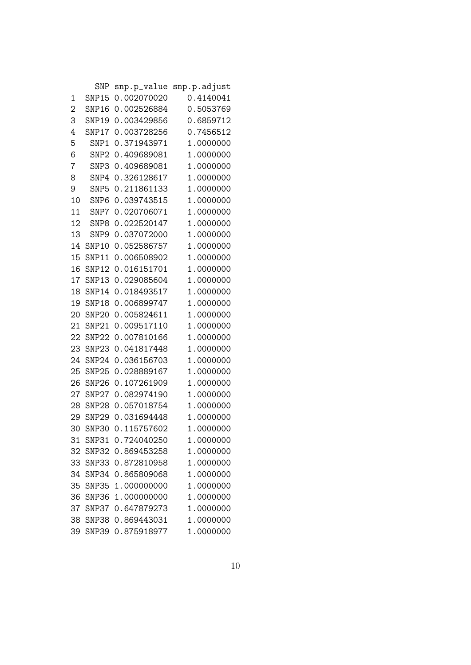|                | SNP               | snp.p_value | snp.p.adjust |
|----------------|-------------------|-------------|--------------|
| 1              | SNP15             | 0.002070020 | 0.4140041    |
| $\overline{2}$ | SNP16             | 0.002526884 | 0.5053769    |
| 3              | SNP19             | 0.003429856 | 0.6859712    |
| 4              | SNP17             | 0.003728256 | 0.7456512    |
| 5              | SNP1              | 0.371943971 | 1.0000000    |
| 6              | SNP <sub>2</sub>  | 0.409689081 | 1.0000000    |
| 7              | SNP3              | 0.409689081 | 1.0000000    |
| 8              | SNP4              | 0.326128617 | 1.0000000    |
| 9              | SNP5              | 0.211861133 | 1.0000000    |
| 10             | SNP <sub>6</sub>  | 0.039743515 | 1.0000000    |
| 11             | SNP7              | 0.020706071 | 1.0000000    |
| 12             | SNP <sub>8</sub>  | 0.022520147 | 1.0000000    |
| 13             | SNP <sub>9</sub>  | 0.037072000 | 1.0000000    |
| 14             | SNP10             | 0.052586757 | 1.0000000    |
| 15             | SNP11             | 0.006508902 | 1.0000000    |
| 16             | SNP12             | 0.016151701 | 1.0000000    |
| 17             | SNP13             | 0.029085604 | 1.0000000    |
| 18             | SNP14             | 0.018493517 | 1.0000000    |
| 19             | SNP18             | 0.006899747 | 1.0000000    |
| 20             | SNP <sub>20</sub> | 0.005824611 | 1.0000000    |
| 21             | SNP21             | 0.009517110 | 1.0000000    |
| 22             | SNP <sub>22</sub> | 0.007810166 | 1.0000000    |
| 23             | SNP23             | 0.041817448 | 1.0000000    |
| 24             | SNP24             | 0.036156703 | 1.0000000    |
| 25             | SNP25             | 0.028889167 | 1.0000000    |
| 26             | SNP <sub>26</sub> | 0.107261909 | 1.0000000    |
| 27             | SNP27             | 0.082974190 | 1.0000000    |
| 28             | SNP <sub>28</sub> | 0.057018754 | 1.0000000    |
| 29             | SNP <sub>29</sub> | 0.031694448 | 1.0000000    |
| 30             | SNP30             | 0.115757602 | 1.0000000    |
| 31             | SNP31             | 0.724040250 | 1.0000000    |
| 32             | SNP32             | 0.869453258 | 1.0000000    |
| 33             | SNP33             | 0.872810958 | 1.0000000    |
| 34             | SNP34             | 0.865809068 | 1.0000000    |
| 35             | SNP35             | 1.000000000 | 1.0000000    |
| 36             | SNP36             | 1.000000000 | 1.0000000    |
| 37             | SNP37             | 0.647879273 | 1.0000000    |
| 38             | SNP38             | 0.869443031 | 1.0000000    |
| 39             | SNP39             | 0.875918977 | 1.0000000    |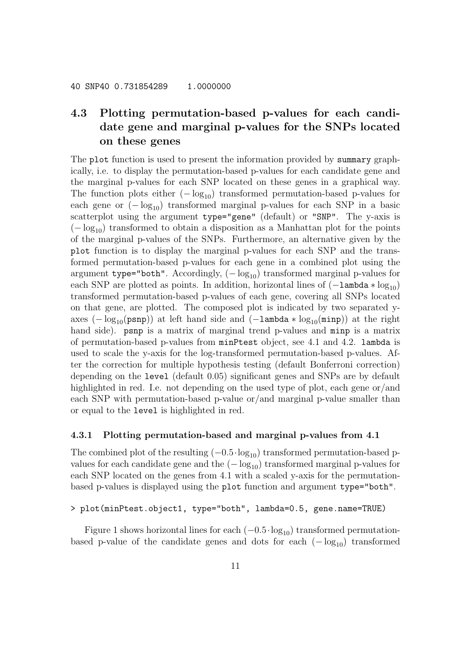# 4.3 Plotting permutation-based p-values for each candidate gene and marginal p-values for the SNPs located on these genes

The plot function is used to present the information provided by summary graphically, i.e. to display the permutation-based p-values for each candidate gene and the marginal p-values for each SNP located on these genes in a graphical way. The function plots either  $(-\log_{10})$  transformed permutation-based p-values for each gene or  $(-\log_{10})$  transformed marginal p-values for each SNP in a basic scatterplot using the argument type="gene" (default) or "SNP". The y-axis is  $(-\log_{10})$  transformed to obtain a disposition as a Manhattan plot for the points of the marginal p-values of the SNPs. Furthermore, an alternative given by the plot function is to display the marginal p-values for each SNP and the transformed permutation-based p-values for each gene in a combined plot using the argument type="both". Accordingly,  $(-\log_{10})$  transformed marginal p-values for each SNP are plotted as points. In addition, horizontal lines of  $(-\text{lambda} * \log_{10})$ transformed permutation-based p-values of each gene, covering all SNPs located on that gene, are plotted. The composed plot is indicated by two separated yaxes  $(-\log_{10}(p s n p))$  at left hand side and  $(-\lambda m b d a * \log_{10}(m n p))$  at the right hand side). **psnp** is a matrix of marginal trend p-values and **minp** is a matrix of permutation-based p-values from minPtest object, see 4.1 and 4.2. lambda is used to scale the y-axis for the log-transformed permutation-based p-values. After the correction for multiple hypothesis testing (default Bonferroni correction) depending on the level (default 0.05) significant genes and SNPs are by default highlighted in red. I.e. not depending on the used type of plot, each gene or/and each SNP with permutation-based p-value or/and marginal p-value smaller than or equal to the level is highlighted in red.

#### 4.3.1 Plotting permutation-based and marginal p-values from 4.1

The combined plot of the resulting  $(-0.5 \cdot \log_{10})$  transformed permutation-based pvalues for each candidate gene and the  $(-\log_{10})$  transformed marginal p-values for each SNP located on the genes from 4.1 with a scaled y-axis for the permutationbased p-values is displayed using the plot function and argument type="both".

#### > plot(minPtest.object1, type="both", lambda=0.5, gene.name=TRUE)

Figure 1 shows horizontal lines for each  $(-0.5 \cdot \log_{10})$  transformed permutationbased p-value of the candidate genes and dots for each  $(-\log_{10})$  transformed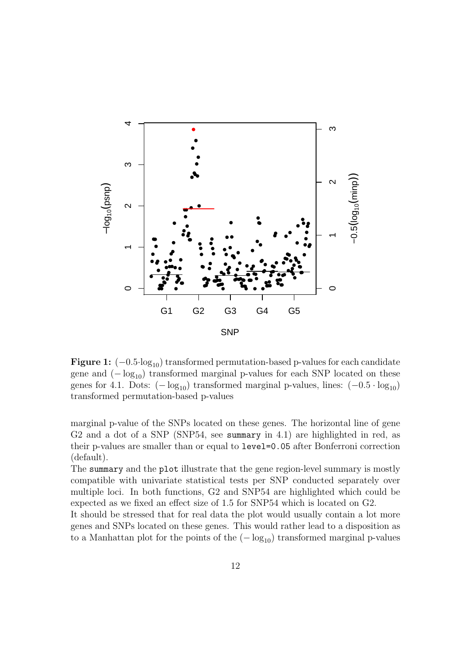

**Figure 1:**  $(-0.5 \cdot \log_{10})$  transformed permutation-based p-values for each candidate gene and  $(-\log_{10})$  transformed marginal p-values for each SNP located on these genes for 4.1. Dots:  $(-\log_{10})$  transformed marginal p-values, lines:  $(-0.5 \cdot \log_{10})$ transformed permutation-based p-values

marginal p-value of the SNPs located on these genes. The horizontal line of gene G2 and a dot of a SNP (SNP54, see summary in 4.1) are highlighted in red, as their p-values are smaller than or equal to level=0.05 after Bonferroni correction (default).

The summary and the plot illustrate that the gene region-level summary is mostly compatible with univariate statistical tests per SNP conducted separately over multiple loci. In both functions, G2 and SNP54 are highlighted which could be expected as we fixed an effect size of 1.5 for SNP54 which is located on G2.

It should be stressed that for real data the plot would usually contain a lot more genes and SNPs located on these genes. This would rather lead to a disposition as to a Manhattan plot for the points of the  $(-\log_{10})$  transformed marginal p-values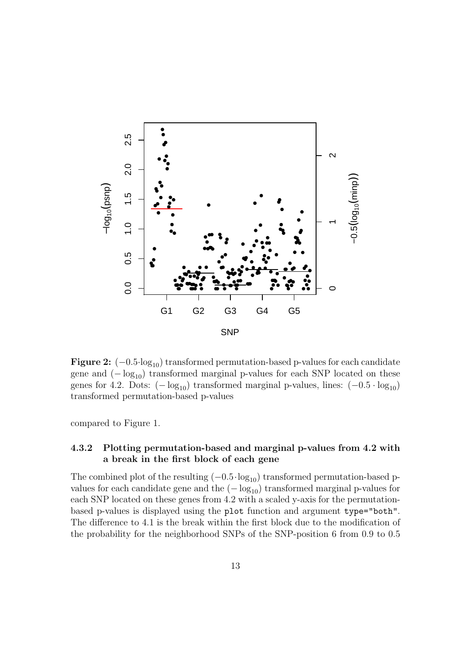

**Figure 2:**  $(-0.5 \cdot \log_{10})$  transformed permutation-based p-values for each candidate gene and  $(-\log_{10})$  transformed marginal p-values for each SNP located on these genes for 4.2. Dots:  $(-\log_{10})$  transformed marginal p-values, lines:  $(-0.5 \cdot \log_{10})$ transformed permutation-based p-values

compared to Figure 1.

#### 4.3.2 Plotting permutation-based and marginal p-values from 4.2 with a break in the first block of each gene

The combined plot of the resulting  $(-0.5 \cdot \log_{10})$  transformed permutation-based pvalues for each candidate gene and the  $(-\log_{10})$  transformed marginal p-values for each SNP located on these genes from 4.2 with a scaled y-axis for the permutationbased p-values is displayed using the plot function and argument type="both". The difference to 4.1 is the break within the first block due to the modification of the probability for the neighborhood SNPs of the SNP-position 6 from 0.9 to 0.5